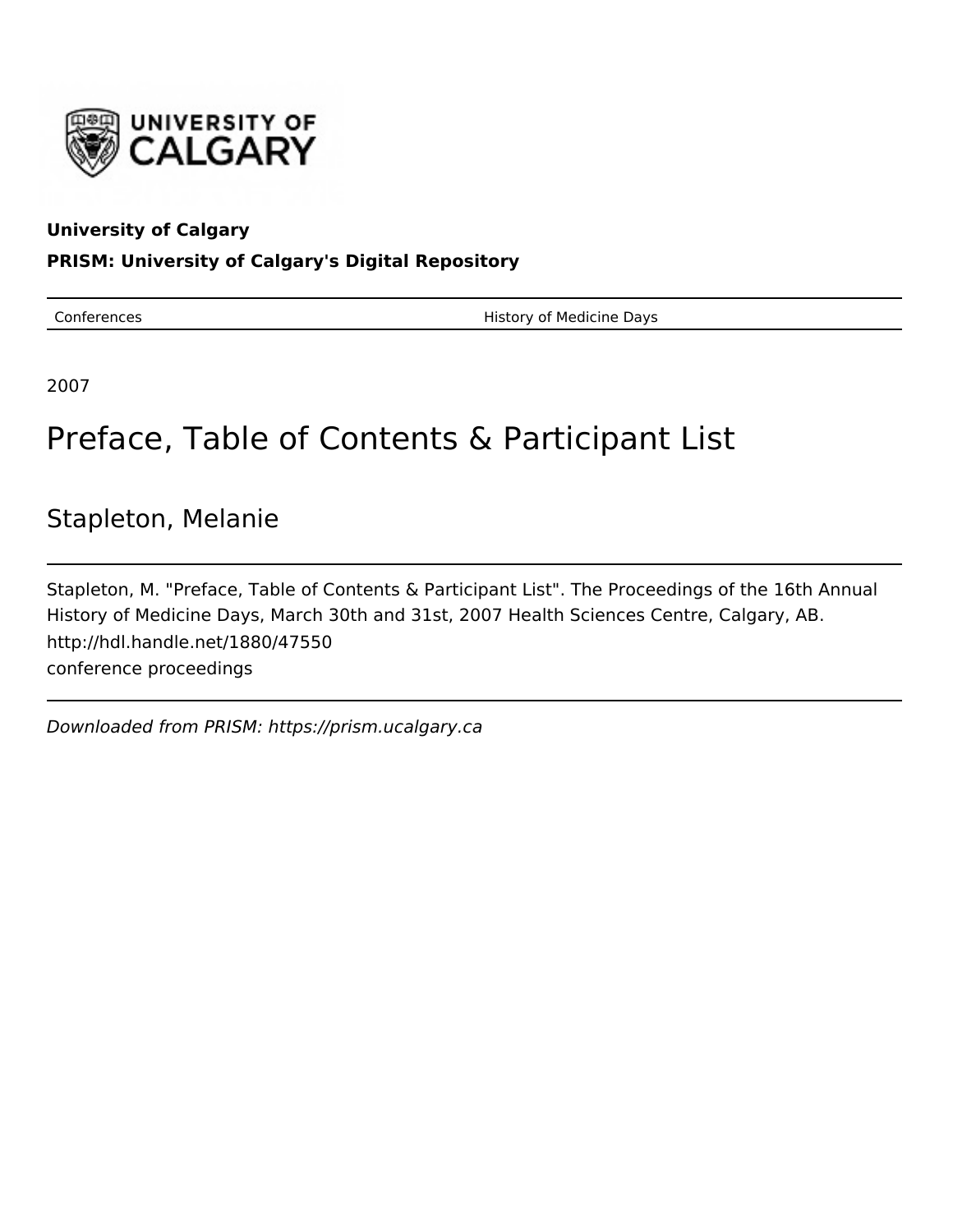

#### **University of Calgary**

#### **PRISM: University of Calgary's Digital Repository**

Conferences **History of Medicine Days** 

2007

# Preface, Table of Contents & Participant List

## Stapleton, Melanie

Stapleton, M. "Preface, Table of Contents & Participant List". The Proceedings of the 16th Annual History of Medicine Days, March 30th and 31st, 2007 Health Sciences Centre, Calgary, AB. http://hdl.handle.net/1880/47550 conference proceedings

Downloaded from PRISM: https://prism.ucalgary.ca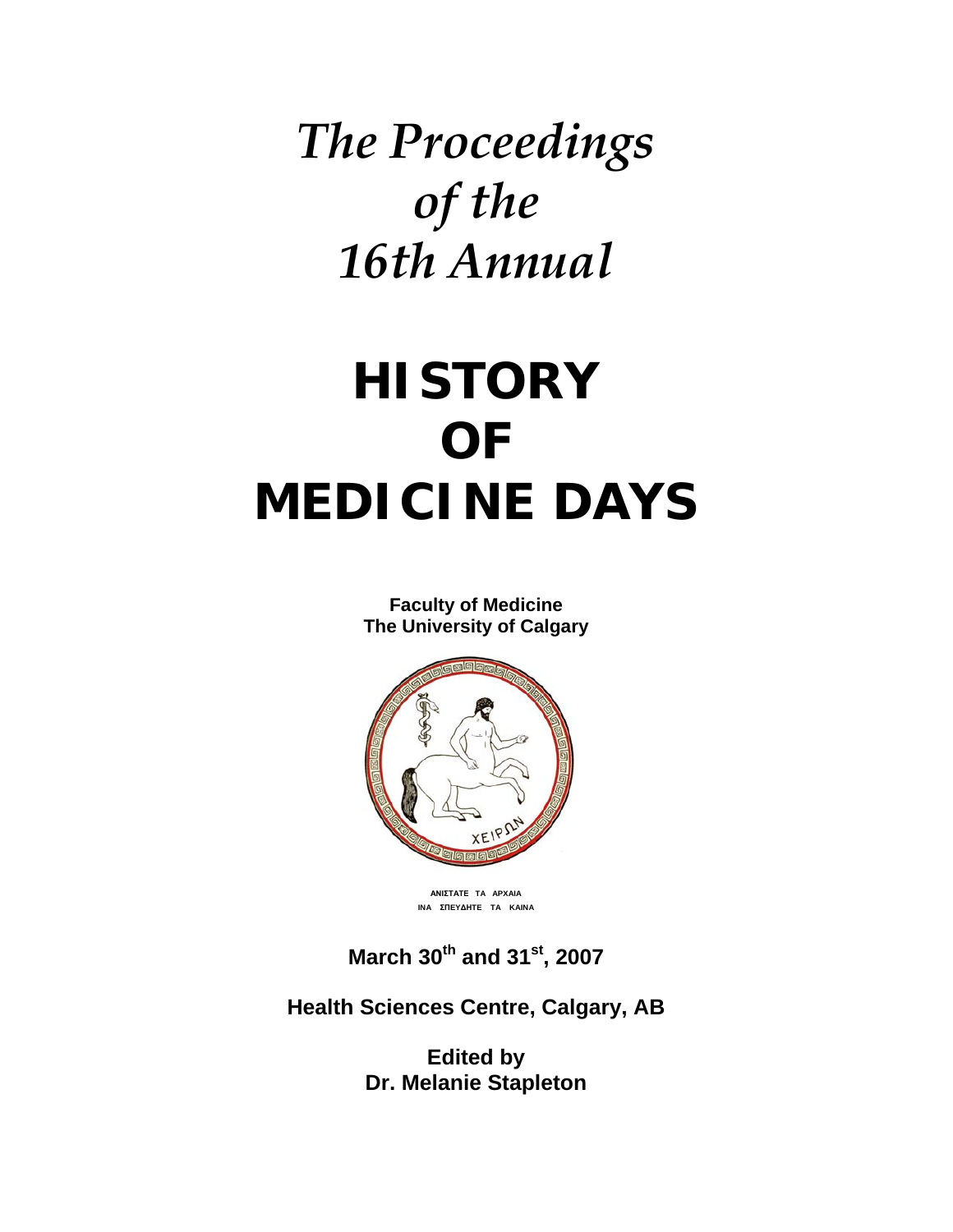# *The Proceedings of the 16th Annual*

# **HISTORY OF MEDICINE DAYS**

**Faculty of Medicine The University of Calgary**



**АΝΙΣΤΑΤΕ TA APXAIA INA ΣΠEYΔΗTE TA KAINA**

**March 30th and 31st, 2007** 

**Health Sciences Centre, Calgary, AB** 

**Edited by Dr. Melanie Stapleton**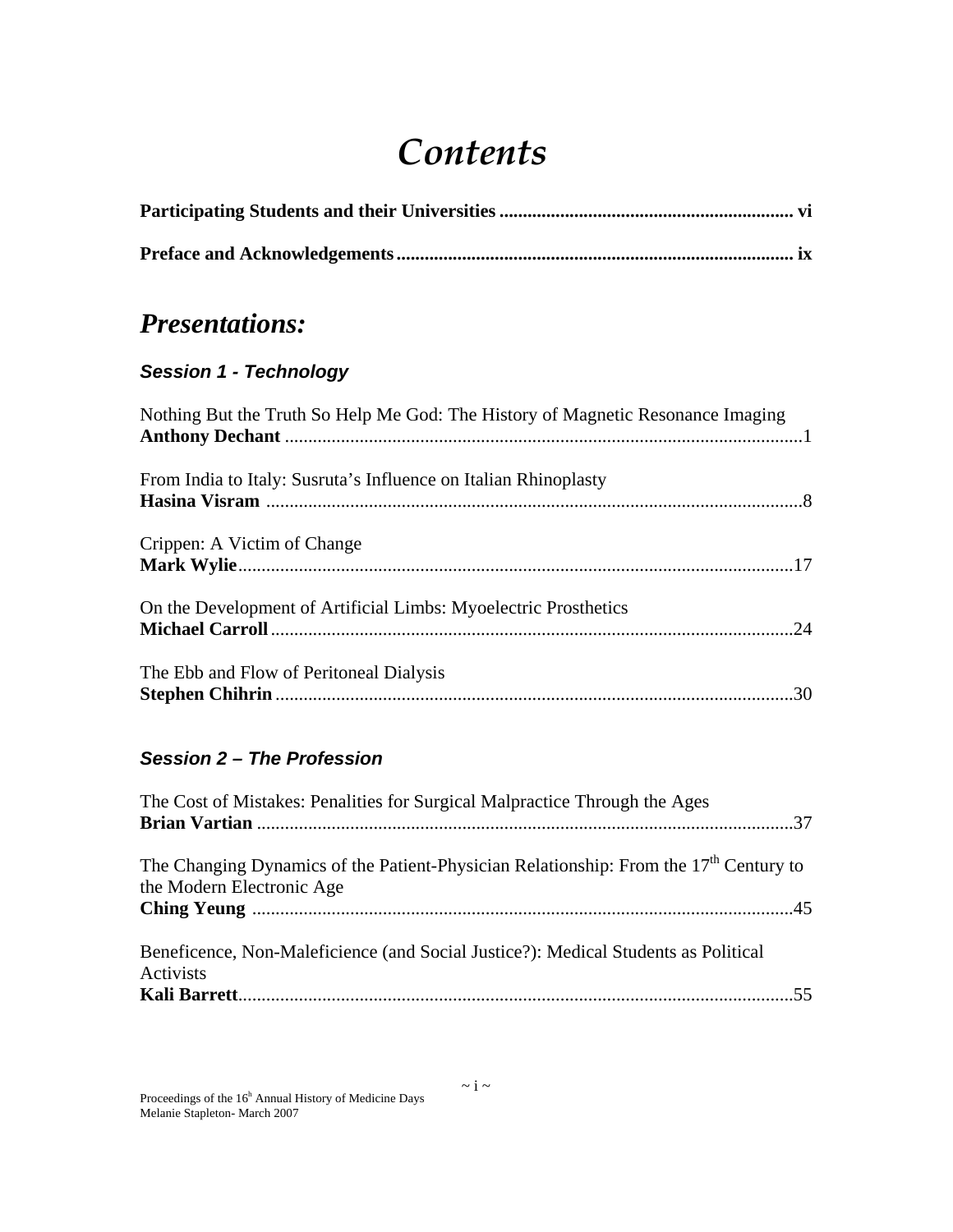# *Contents*

## *Presentations:*

#### *Session 1 - Technology*

| Nothing But the Truth So Help Me God: The History of Magnetic Resonance Imaging |
|---------------------------------------------------------------------------------|
| From India to Italy: Susruta's Influence on Italian Rhinoplasty                 |
| Crippen: A Victim of Change                                                     |
| On the Development of Artificial Limbs: Myoelectric Prosthetics                 |
| The Ebb and Flow of Peritoneal Dialysis                                         |

#### *Session 2 – The Profession*

| The Cost of Mistakes: Penalities for Surgical Malpractice Through the Ages                                           |
|----------------------------------------------------------------------------------------------------------------------|
|                                                                                                                      |
| The Changing Dynamics of the Patient-Physician Relationship: From the $17th$ Century to<br>the Modern Electronic Age |
| Beneficence, Non-Maleficience (and Social Justice?): Medical Students as Political<br>Activists                      |
|                                                                                                                      |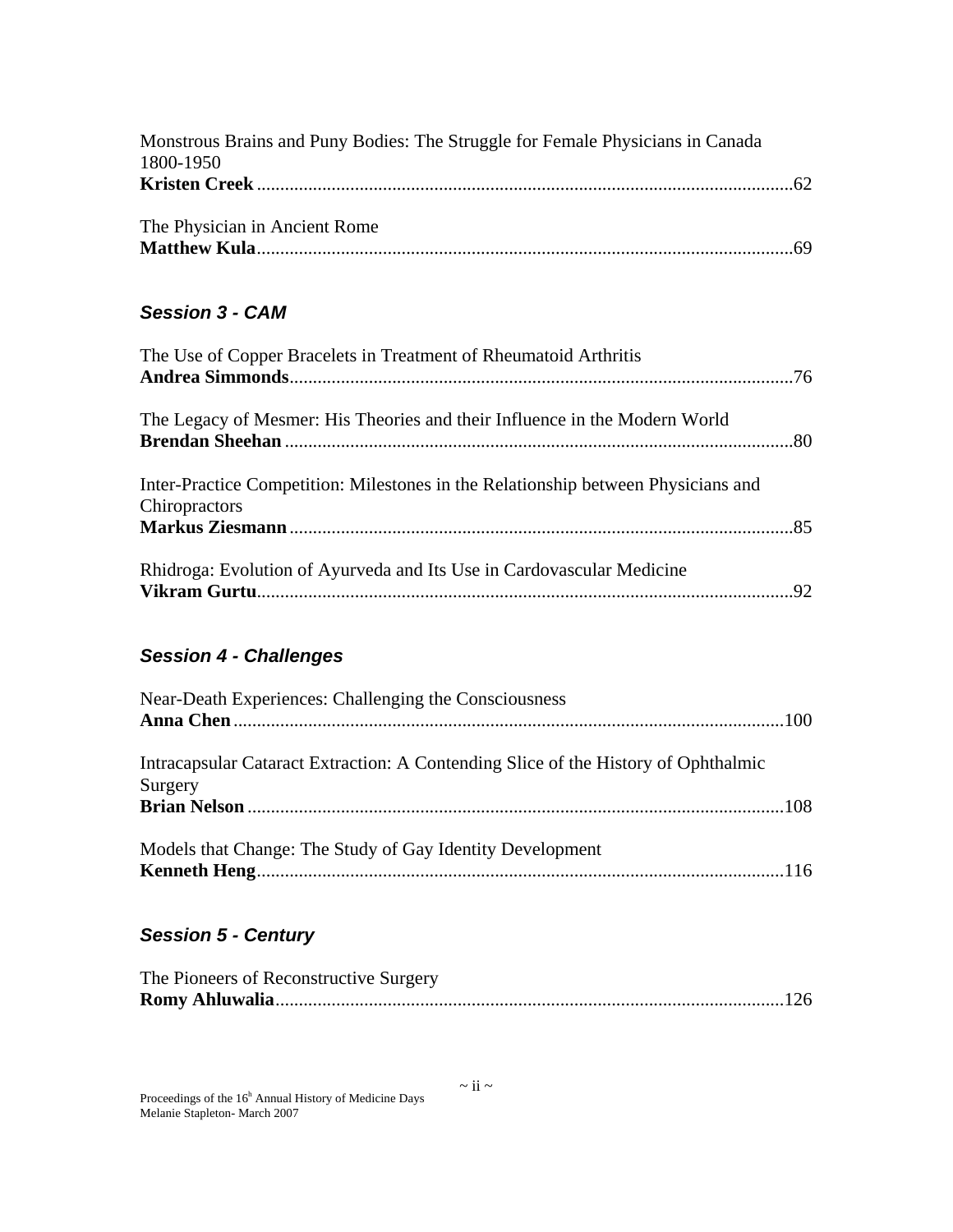| Monstrous Brains and Puny Bodies: The Struggle for Female Physicians in Canada |  |
|--------------------------------------------------------------------------------|--|
| 1800-1950                                                                      |  |
|                                                                                |  |
| The Physician in Ancient Rome                                                  |  |
|                                                                                |  |
|                                                                                |  |

#### *Session 3 - CAM*

| The Use of Copper Bracelets in Treatment of Rheumatoid Arthritis                                   |  |
|----------------------------------------------------------------------------------------------------|--|
|                                                                                                    |  |
| The Legacy of Mesmer: His Theories and their Influence in the Modern World                         |  |
| Inter-Practice Competition: Milestones in the Relationship between Physicians and<br>Chiropractors |  |
|                                                                                                    |  |
| Rhidroga: Evolution of Ayurveda and Its Use in Cardovascular Medicine                              |  |

#### *Session 4 - Challenges*

| Near-Death Experiences: Challenging the Consciousness                                         |  |
|-----------------------------------------------------------------------------------------------|--|
|                                                                                               |  |
| Intracapsular Cataract Extraction: A Contending Slice of the History of Ophthalmic<br>Surgery |  |
|                                                                                               |  |
| Models that Change: The Study of Gay Identity Development                                     |  |

#### *Session 5 - Century*

| The Pioneers of Reconstructive Surgery |  |
|----------------------------------------|--|
|                                        |  |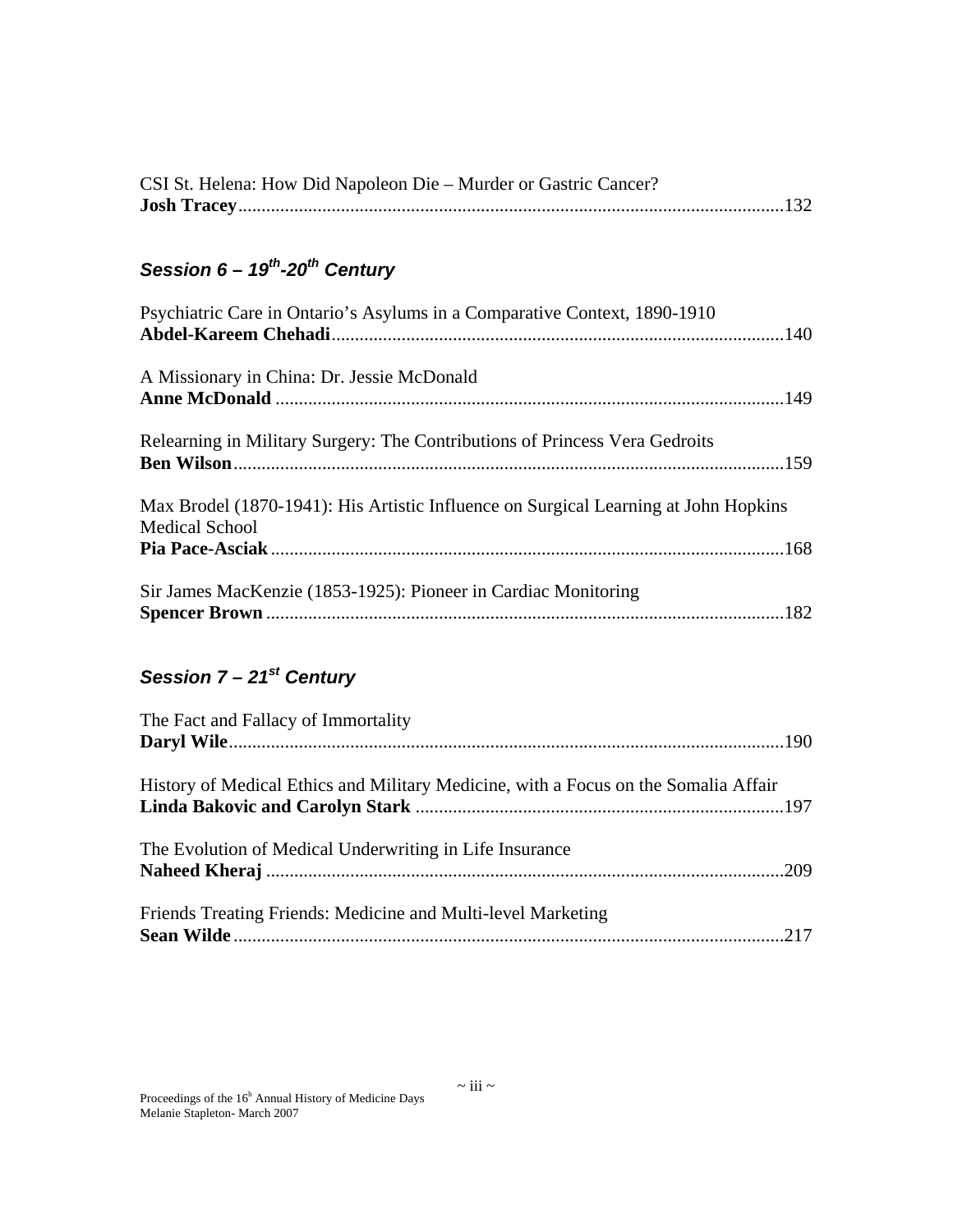| CSI St. Helena: How Did Napoleon Die – Murder or Gastric Cancer? |  |
|------------------------------------------------------------------|--|
|                                                                  |  |

## *Session 6 – 19th-20th Century*

| Psychiatric Care in Ontario's Asylums in a Comparative Context, 1890-1910           |  |
|-------------------------------------------------------------------------------------|--|
|                                                                                     |  |
|                                                                                     |  |
| A Missionary in China: Dr. Jessie McDonald                                          |  |
|                                                                                     |  |
|                                                                                     |  |
| Relearning in Military Surgery: The Contributions of Princess Vera Gedroits         |  |
|                                                                                     |  |
|                                                                                     |  |
| Max Brodel (1870-1941): His Artistic Influence on Surgical Learning at John Hopkins |  |
| <b>Medical School</b>                                                               |  |
|                                                                                     |  |
| Sir James MacKenzie (1853-1925): Pioneer in Cardiac Monitoring                      |  |
|                                                                                     |  |
|                                                                                     |  |

### *Session 7 – 21st Century*

| The Fact and Fallacy of Immortality                                                 |  |
|-------------------------------------------------------------------------------------|--|
|                                                                                     |  |
| History of Medical Ethics and Military Medicine, with a Focus on the Somalia Affair |  |
| The Evolution of Medical Underwriting in Life Insurance                             |  |
| Friends Treating Friends: Medicine and Multi-level Marketing                        |  |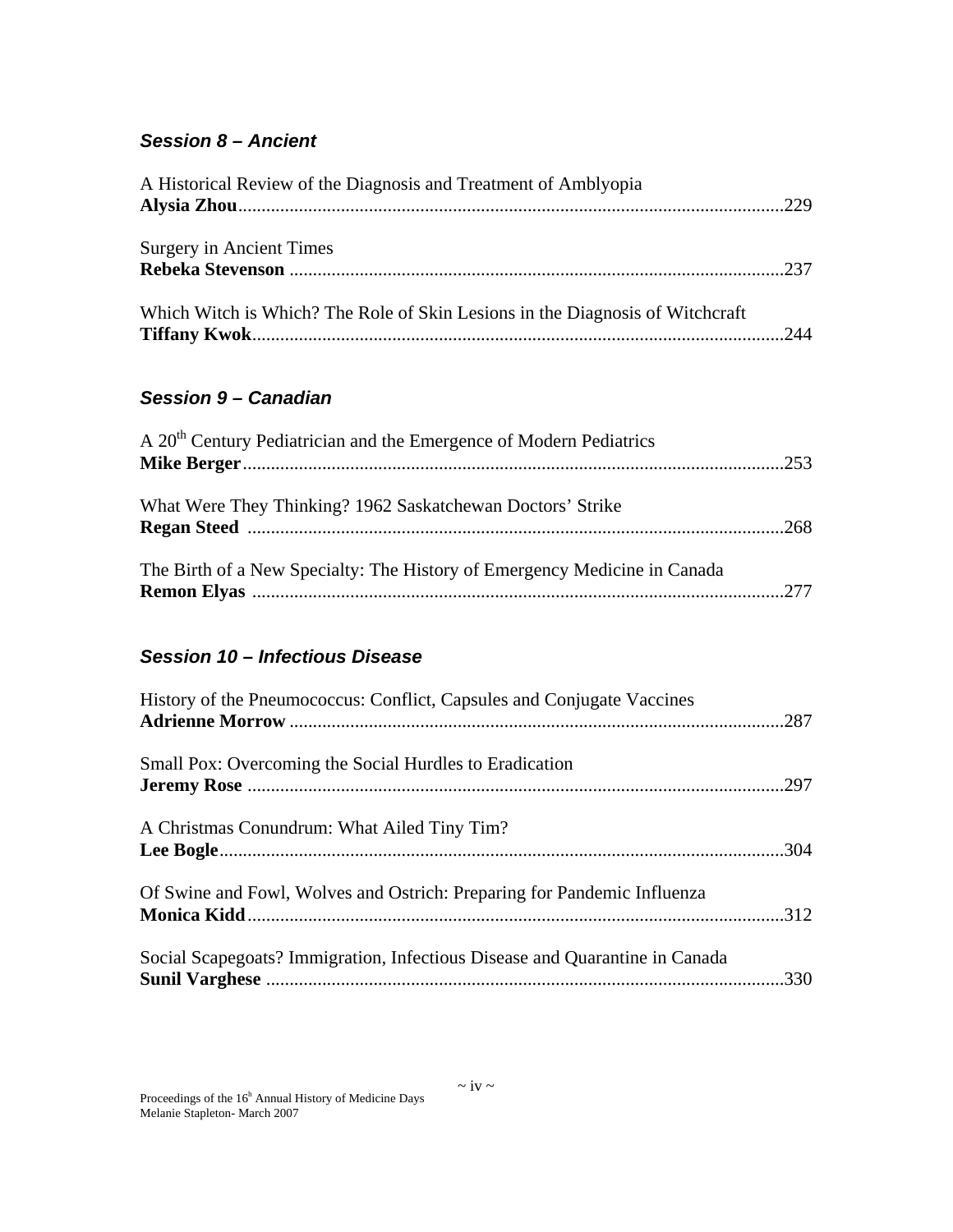#### *Session 8 – Ancient*

| A Historical Review of the Diagnosis and Treatment of Amblyopia               |  |
|-------------------------------------------------------------------------------|--|
|                                                                               |  |
| <b>Surgery in Ancient Times</b>                                               |  |
| Which Witch is Which? The Role of Skin Lesions in the Diagnosis of Witchcraft |  |

#### *Session 9 – Canadian*

| A 20 <sup>th</sup> Century Pediatrician and the Emergence of Modern Pediatrics |  |
|--------------------------------------------------------------------------------|--|
|                                                                                |  |
| What Were They Thinking? 1962 Saskatchewan Doctors' Strike                     |  |
| The Birth of a New Specialty: The History of Emergency Medicine in Canada      |  |

#### *Session 10 – Infectious Disease*

| History of the Pneumococcus: Conflict, Capsules and Conjugate Vaccines      |  |
|-----------------------------------------------------------------------------|--|
| Small Pox: Overcoming the Social Hurdles to Eradication                     |  |
| A Christmas Conundrum: What Ailed Tiny Tim?                                 |  |
| Of Swine and Fowl, Wolves and Ostrich: Preparing for Pandemic Influenza     |  |
| Social Scapegoats? Immigration, Infectious Disease and Quarantine in Canada |  |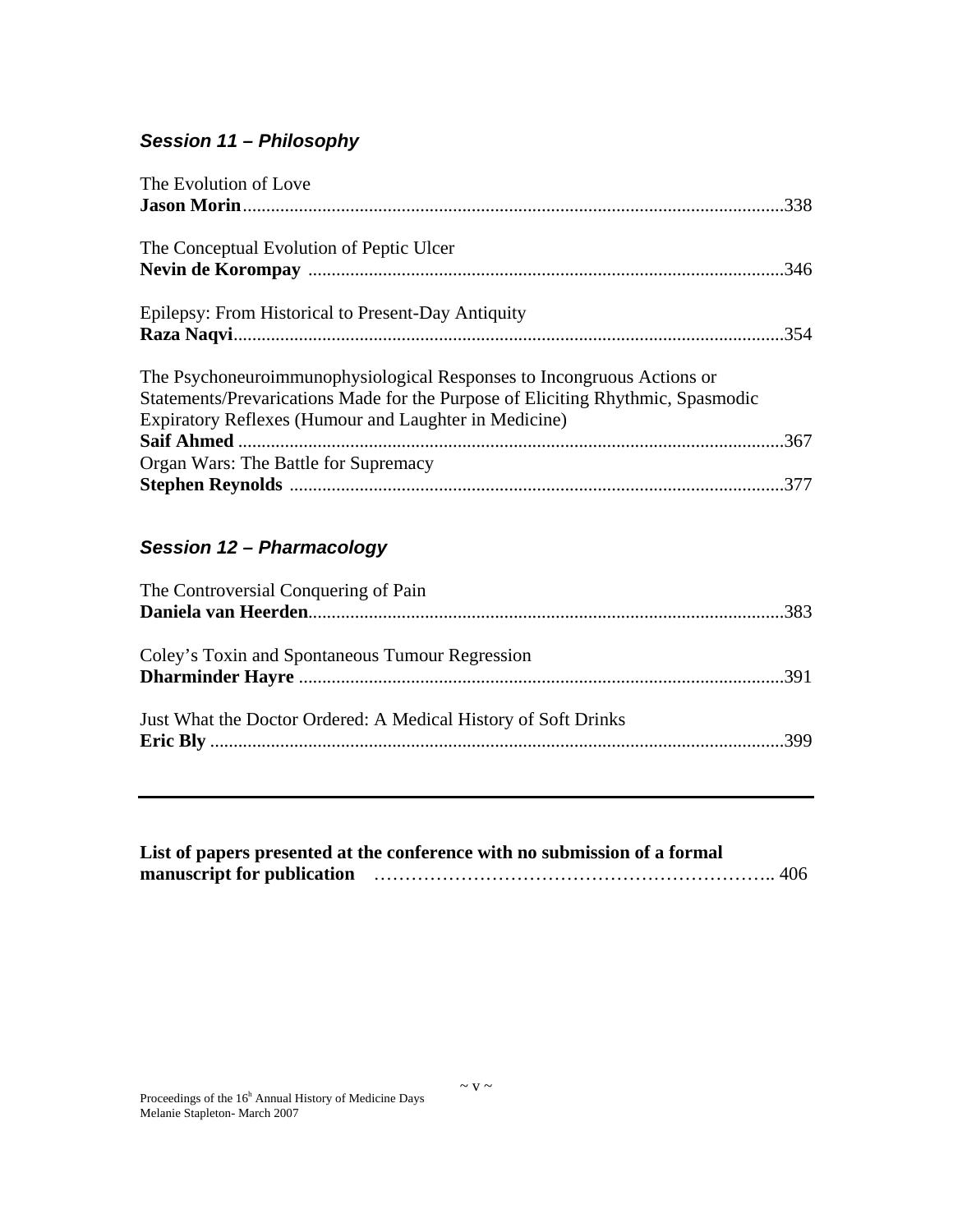### *Session 11 – Philosophy*

| The Evolution of Love                                                           |  |
|---------------------------------------------------------------------------------|--|
|                                                                                 |  |
| The Conceptual Evolution of Peptic Ulcer                                        |  |
|                                                                                 |  |
| Epilepsy: From Historical to Present-Day Antiquity                              |  |
|                                                                                 |  |
| The Psychoneuroimmunophysiological Responses to Incongruous Actions or          |  |
| Statements/Prevarications Made for the Purpose of Eliciting Rhythmic, Spasmodic |  |
| Expiratory Reflexes (Humour and Laughter in Medicine)                           |  |
|                                                                                 |  |
| Organ Wars: The Battle for Supremacy                                            |  |
|                                                                                 |  |
|                                                                                 |  |
|                                                                                 |  |

#### *Session 12 – Pharmacology*

| The Controversial Conquering of Pain                           |  |
|----------------------------------------------------------------|--|
|                                                                |  |
|                                                                |  |
| Coley's Toxin and Spontaneous Tumour Regression                |  |
|                                                                |  |
|                                                                |  |
| Just What the Doctor Ordered: A Medical History of Soft Drinks |  |
|                                                                |  |
|                                                                |  |

| List of papers presented at the conference with no submission of a formal |  |
|---------------------------------------------------------------------------|--|
|                                                                           |  |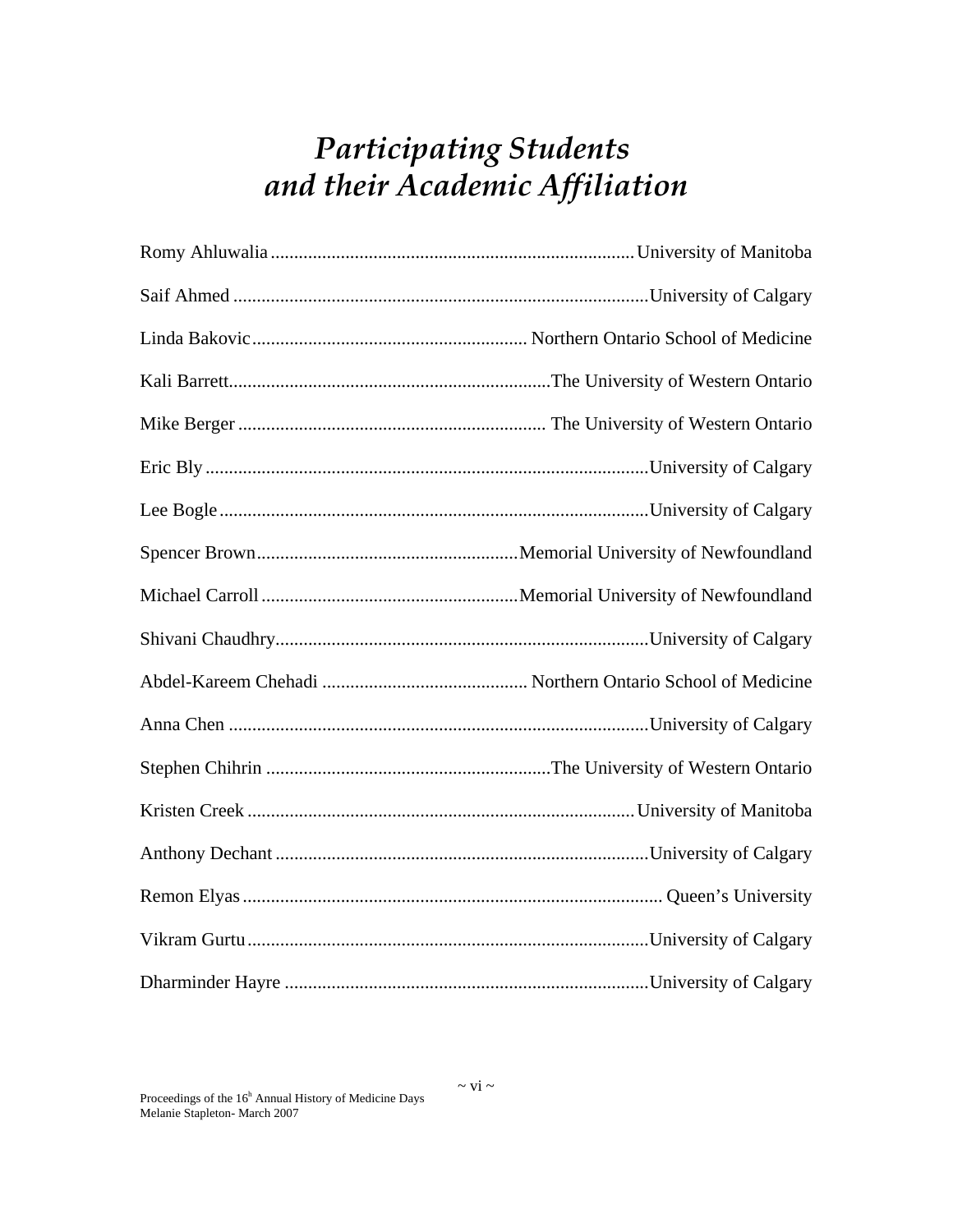# *Participating Students and their Academic Affiliation*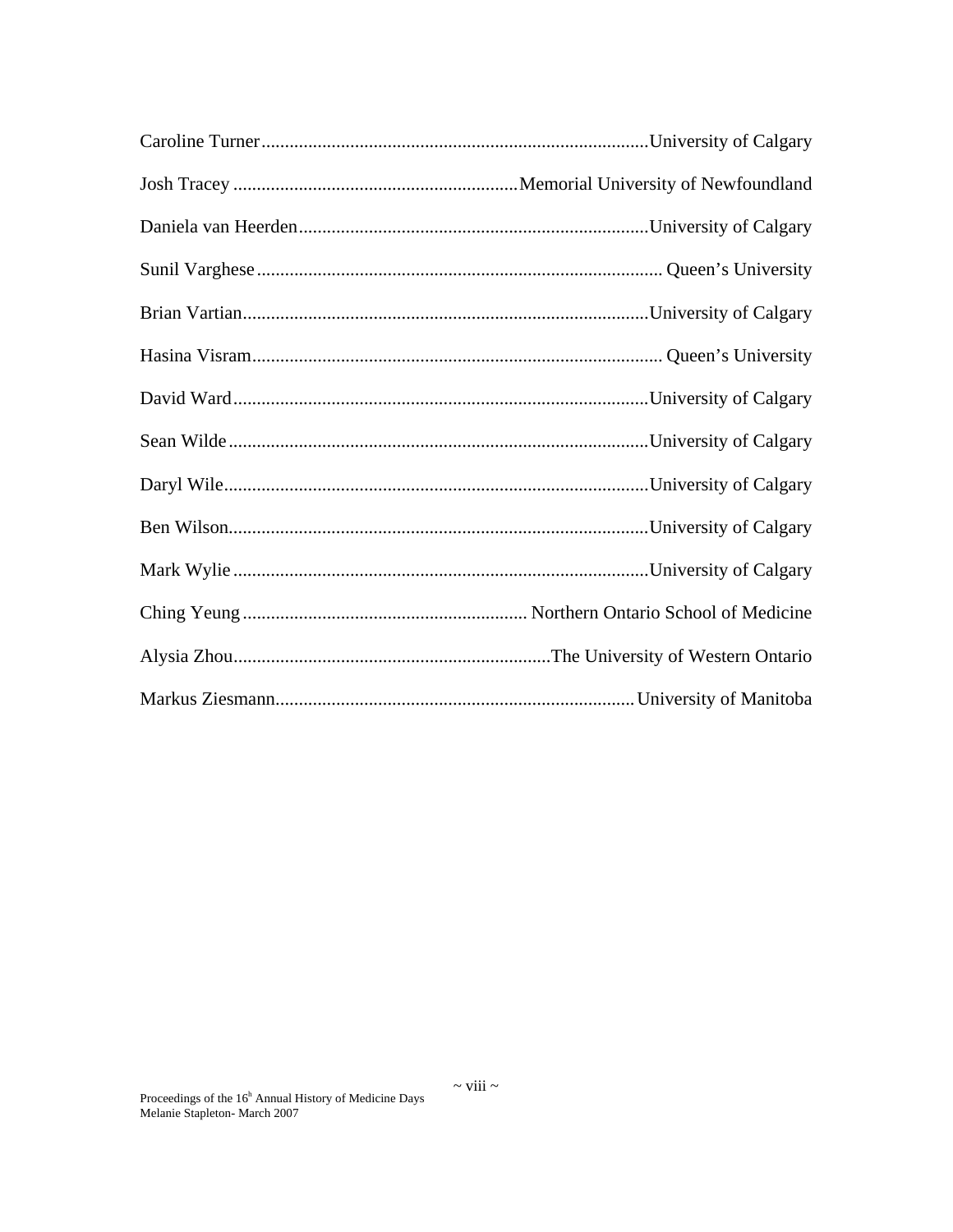$\sim$ viii $\sim$